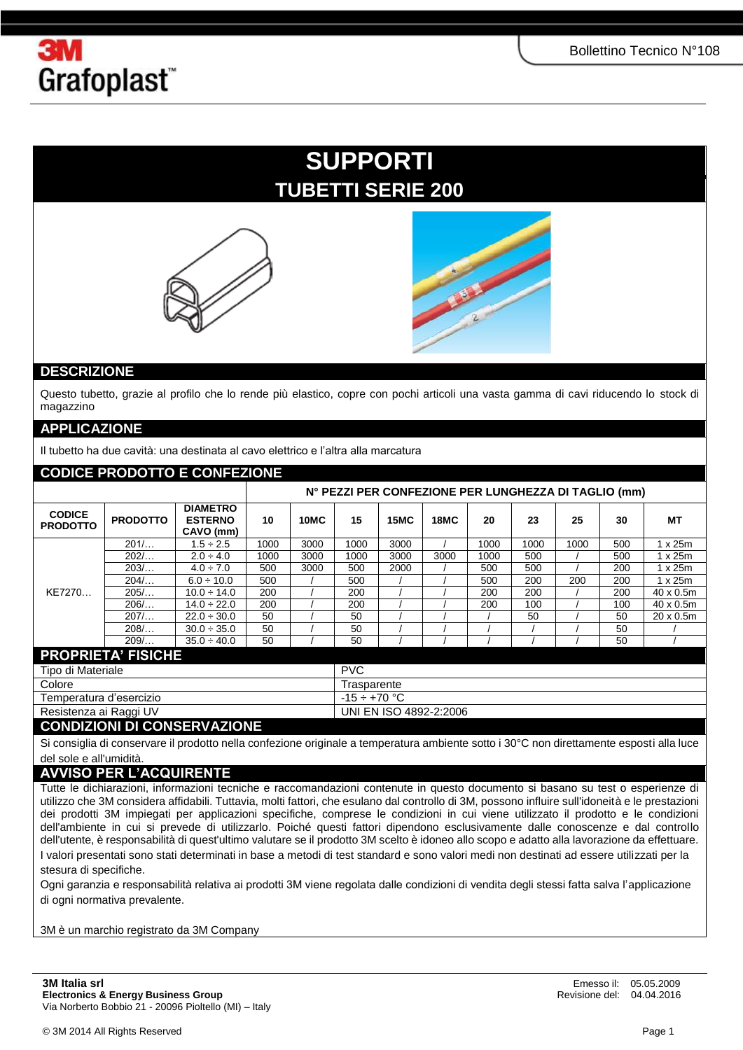

## **SUPPORTI TUBETTI SERIE 200**





### **DESCRIZIONE**

Questo tubetto, grazie al profilo che lo rende più elastico, copre con pochi articoli una vasta gamma di cavi riducendo lo stock di magazzino

#### **APPLICAZIONE**

Il tubetto ha due cavità: una destinata al cavo elettrico e l'altra alla marcatura

| <b>CODICE PRODOTTO E CONFEZIONE</b> |                                                      |                                                |      |             |                        |             |      |      |      |      |     |                   |  |
|-------------------------------------|------------------------------------------------------|------------------------------------------------|------|-------------|------------------------|-------------|------|------|------|------|-----|-------------------|--|
|                                     | N° PEZZI PER CONFEZIONE PER LUNGHEZZA DI TAGLIO (mm) |                                                |      |             |                        |             |      |      |      |      |     |                   |  |
| <b>CODICE</b><br><b>PRODOTTO</b>    | <b>PRODOTTO</b>                                      | <b>DIAMETRO</b><br><b>ESTERNO</b><br>CAVO (mm) | 10   | 10MC        | 15                     | <b>15MC</b> | 18MC | 20   | 23   | 25   | 30  | МT                |  |
| KE7270                              | $201/$                                               | $1.5 \div 2.5$                                 | 1000 | 3000        | 1000                   | 3000        |      | 1000 | 1000 | 1000 | 500 | 1 x 25m           |  |
|                                     | 202/                                                 | $2.0 \div 4.0$                                 | 1000 | 3000        | 1000                   | 3000        | 3000 | 1000 | 500  |      | 500 | $1 \times 25m$    |  |
|                                     | 203/                                                 | $4.0 \div 7.0$                                 | 500  | 3000        | 500                    | 2000        |      | 500  | 500  |      | 200 | 1 x 25m           |  |
|                                     | 204/                                                 | $6.0 \div 10.0$                                | 500  |             | 500                    |             |      | 500  | 200  | 200  | 200 | 1 x 25m           |  |
|                                     | $205/$                                               | $10.0 \div 14.0$                               | 200  |             | 200                    |             |      | 200  | 200  |      | 200 | $40 \times 0.5$ m |  |
|                                     | 206/                                                 | $14.0 \div 22.0$                               | 200  |             | 200                    |             |      | 200  | 100  |      | 100 | $40 \times 0.5$ m |  |
|                                     | $207/$                                               | $22.0 \div 30.0$                               | 50   |             | 50                     |             |      |      | 50   |      | 50  | $20 \times 0.5$ m |  |
|                                     | 208/                                                 | $30.0 \div 35.0$                               | 50   |             | 50                     |             |      |      |      |      | 50  |                   |  |
|                                     | 209/                                                 | $35.0 \div 40.0$                               | 50   |             | 50                     |             |      |      |      |      | 50  |                   |  |
| <b>PROPRIETA' FISICHE</b>           |                                                      |                                                |      |             |                        |             |      |      |      |      |     |                   |  |
| Tipo di Materiale                   |                                                      |                                                |      | <b>PVC</b>  |                        |             |      |      |      |      |     |                   |  |
| Colore                              |                                                      |                                                |      | Trasparente |                        |             |      |      |      |      |     |                   |  |
| Temperatura d'esercizio             |                                                      |                                                |      |             | $-15 \div +70$ °C      |             |      |      |      |      |     |                   |  |
| Resistenza ai Raggi UV              |                                                      |                                                |      |             | UNI EN ISO 4892-2:2006 |             |      |      |      |      |     |                   |  |
| CONDIZIONI DI CONGEDVAZIONE         |                                                      |                                                |      |             |                        |             |      |      |      |      |     |                   |  |

#### **CONDIZIONI DI CONSERVAZIONE**

Si consiglia di conservare il prodotto nella confezione originale a temperatura ambiente sotto i 30°C non direttamente esposti alla luce del sole e all'umidità.

## **AVVISO PER L'ACQUIRENTE**

Tutte le dichiarazioni, informazioni tecniche e raccomandazioni contenute in questo documento si basano su test o esperienze di utilizzo che 3M considera affidabili. Tuttavia, molti fattori, che esulano dal controllo di 3M, possono influire sull'idoneità e le prestazioni dei prodotti 3M impiegati per applicazioni specifiche, comprese le condizioni in cui viene utilizzato il prodotto e le condizioni dell'ambiente in cui si prevede di utilizzarlo. Poiché questi fattori dipendono esclusivamente dalle conoscenze e dal controllo dell'utente, è responsabilità di quest'ultimo valutare se il prodotto 3M scelto è idoneo allo scopo e adatto alla lavorazione da effettuare. I valori presentati sono stati determinati in base a metodi di test standard e sono valori medi non destinati ad essere utilizzati per la stesura di specifiche.

Ogni garanzia e responsabilità relativa ai prodotti 3M viene regolata dalle condizioni di vendita degli stessi fatta salva l'applicazione di ogni normativa prevalente.

3M è un marchio registrato da 3M Company